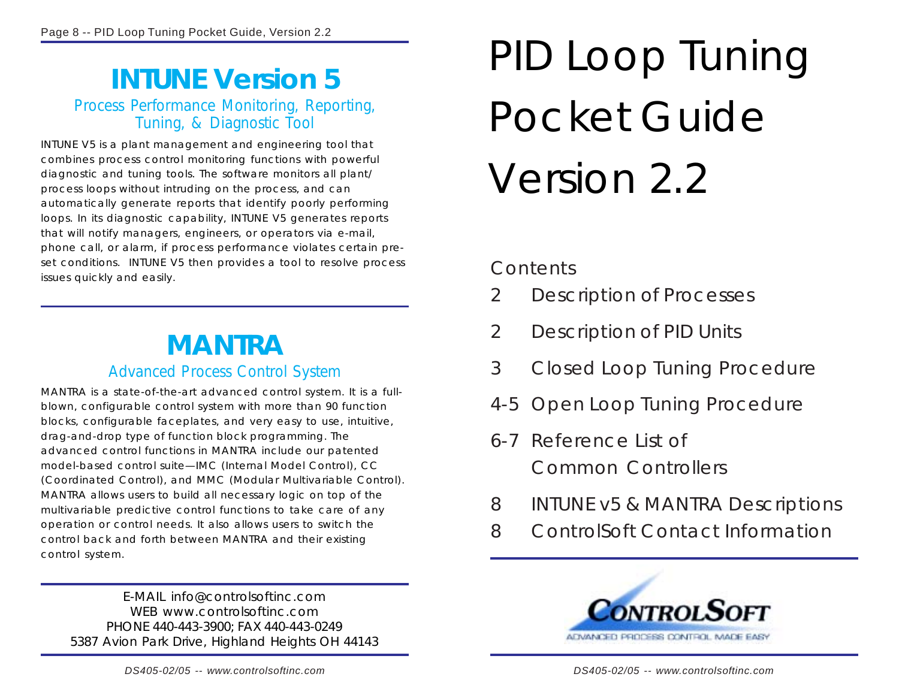## **INTUNE Version 5**

## Process Performance Monitoring, Reporting, Tuning, & Diagnostic Tool

INTUNE V5 is a plant management and engineering tool that combines process control monitoring functions with powerful diagnostic and tuning tools. The software monitors all plant/ process loops without intruding on the process, and can automatically generate reports that identify poorly performing loops. In its diagnostic capability, INTUNE V5 generates reports that will notify managers, engineers, or operators via e-mail, phone call, or alarm, if process performance violates certain preset conditions. INTUNE V5 then provides a tool to resolve process issues quickly and easily.

## **MANTRA** Advanced Process Control System

MANTRA is a state-of-the-art advanced control system. It is a fullblown, configurable control system with more than 90 function blocks, configurable faceplates, and very easy to use, intuitive, drag-and-drop type of function block programming. The advanced control functions in MANTRA include our patented model-based control suite—IMC (Internal Model Control), CC (Coordinated Control), and MMC (Modular Multivariable Control). MANTRA allows users to build all necessary logic on top of the multivariable predictive control functions to take care of any operation or control needs. It also allows users to switch the control back and forth between MANTRA and their existing control system.

*E-MAIL info@controlsoftinc.com WEB www.controlsoftinc.com PHONE 440-443-3900; FAX 440-443-0249 5387 Avion Park Drive, Highland Heights OH 44143*

# PID Loop Tuning Pocket Guide Version 2.2

## Contents

- 2 Description of Processes
- 2 Description of PID Units
- 3 Closed Loop Tuning Procedure
- 4-5 Open Loop Tuning Procedure
- 6-7 Reference List of Common Controllers
- 8 INTUNE v5 & MANTRA Descriptions
- 8 ControlSoft Contact Information

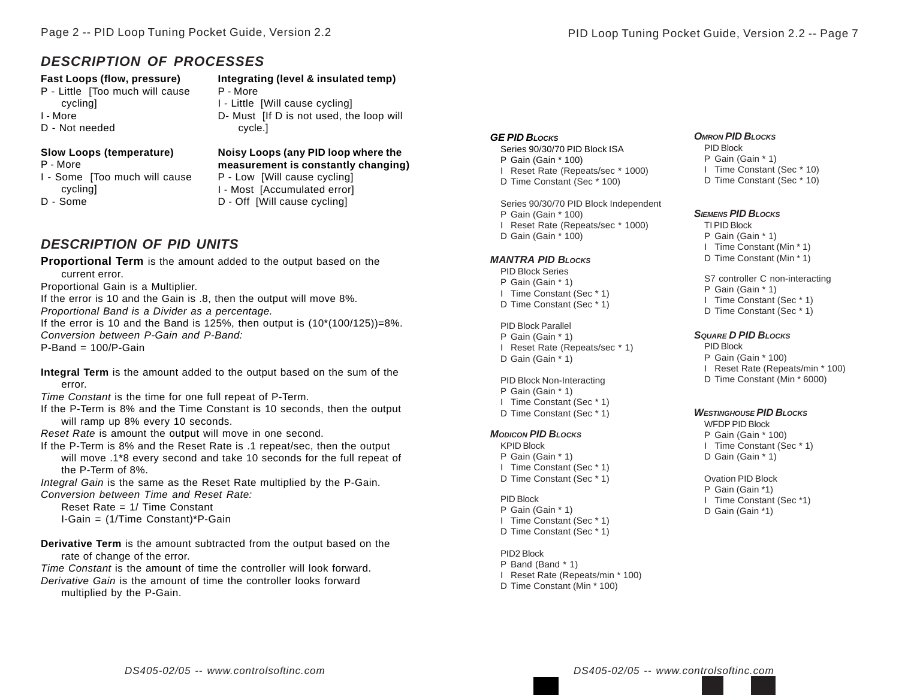#### *DESCRIPTION OF PROCESSES*

#### **Fast Loops (flow, pressure)**

P - Little [Too much will cause cycling]

- I More
- D Not needed

#### **Slow Loops (temperature)**

- P More
- I Some [Too much will cause cycling]
- D Some

#### **Integrating (level & insulated temp)** P - More

- I Little [Will cause cycling]
- D- Must [If D is not used, the loop will
	- cycle.]

#### **Noisy Loops (any PID loop where the measurement is constantly changing)**

- P Low [Will cause cycling]
- I Most [Accumulated error]
- D Off [Will cause cycling]

#### *DESCRIPTION OF PID UNITS*

**Proportional Term** is the amount added to the output based on the current error. Proportional Gain is a Multiplier. If the error is 10 and the Gain is .8, then the output will move 8%.

*Proportional Band is a Divider as a percentage.*

If the error is 10 and the Band is 125%, then output is  $(10^*(100/125))=8\%$ . *Conversion between P-Gain and P-Band:*

 $P$ -Band = 100/P-Gain

**Integral Term** is the amount added to the output based on the sum of the error.

*Time Constant* is the time for one full repeat of P-Term.

If the P-Term is 8% and the Time Constant is 10 seconds, then the output will ramp up 8% every 10 seconds.

*Reset Rate* is amount the output will move in one second.

If the P-Term is 8% and the Reset Rate is .1 repeat/sec, then the output will move .1\*8 every second and take 10 seconds for the full repeat of the P-Term of 8%.

*Integral Gain* is the same as the Reset Rate multiplied by the P-Gain.

*Conversion between Time and Reset Rate:*

Reset Rate = 1/ Time Constant I-Gain = (1/Time Constant)\*P-Gain

**Derivative Term** is the amount subtracted from the output based on the rate of change of the error.

*Time Constant* is the amount of time the controller will look forward. *Derivative Gain* is the amount of time the controller looks forward multiplied by the P-Gain.

#### *GE PID BLOCKS*

#### Series 90/30/70 PID Block ISA P Gain (Gain \* 100) I Reset Rate (Repeats/sec \* 1000) D Time Constant (Sec \* 100)

Series 90/30/70 PID Block Independent P Gain (Gain \* 100) I Reset Rate (Repeats/sec \* 1000) D Gain (Gain \* 100)

#### *MANTRA PID BLOCKS*

PID Block Series P Gain (Gain \* 1) I Time Constant (Sec \* 1) D Time Constant (Sec \* 1)

PID Block Parallel P Gain (Gain \* 1) I Reset Rate (Repeats/sec \* 1) D Gain (Gain \* 1)

PID Block Non-Interacting P Gain (Gain \* 1) I Time Constant (Sec \* 1) D Time Constant (Sec \* 1)

#### *MODICON PID BLOCKS*

KPID Block P Gain (Gain \* 1) I Time Constant (Sec \* 1) D Time Constant (Sec \* 1)

#### PID Block

P Gain (Gain \* 1) I Time Constant (Sec \* 1) D Time Constant (Sec \* 1)

#### PID2 Block

P Band (Band \* 1) I Reset Rate (Repeats/min \* 100) D Time Constant (Min \* 100)

#### *OMRON PID BLOCKS*

PID Block P Gain (Gain \* 1) I Time Constant (Sec \* 10) D Time Constant (Sec \* 10)

#### *SIEMENS PID BLOCKS*

TI PID Block P Gain (Gain \* 1) I Time Constant (Min \* 1) D Time Constant (Min \* 1)

S7 controller C non-interacting P Gain (Gain \* 1) I Time Constant (Sec \* 1) D Time Constant (Sec \* 1)

#### *SQUARE D PID BLOCKS*

PID Block P Gain (Gain \* 100) I Reset Rate (Repeats/min \* 100) D Time Constant (Min \* 6000)

#### *WESTINGHOUSE PID BLOCKS*

WFDP PID Block P Gain (Gain \* 100) I Time Constant (Sec \* 1) D Gain (Gain \* 1)

#### Ovation PID Block

P Gain (Gain \*1) I Time Constant (Sec \*1) D Gain (Gain \*1)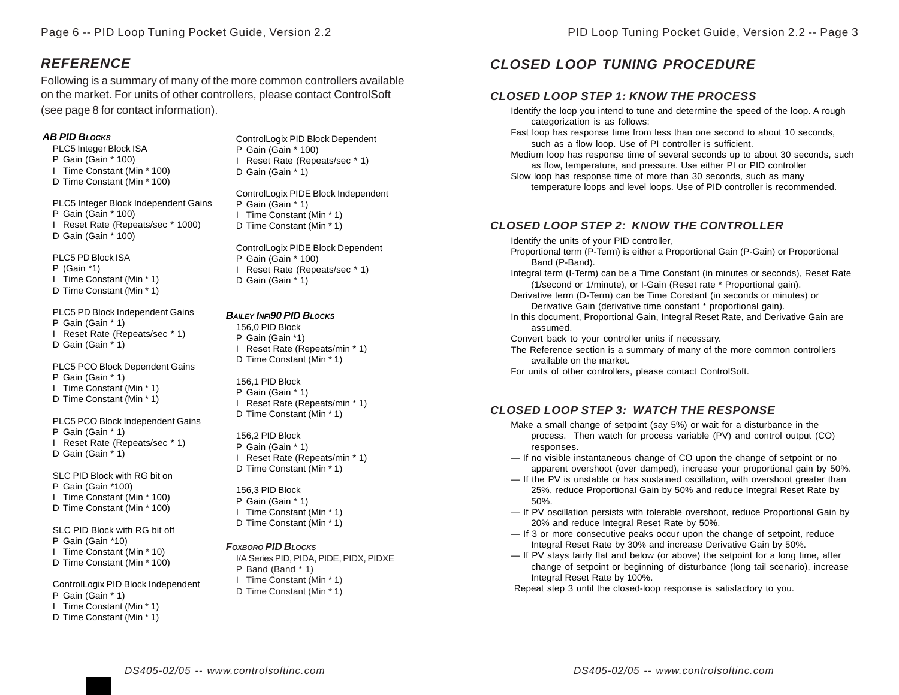#### *REFERENCE*

Following is a summary of many of the more common controllers available on the market. For units of other controllers, please contact ControlSoft (see page 8 for contact information).

#### *AB PID BLOCKS*

PLC5 Integer Block ISA P Gain (Gain \* 100) I Time Constant (Min \* 100) D Time Constant (Min \* 100)

PLC5 Integer Block Independent Gains P Gain (Gain \* 100) I Reset Rate (Repeats/sec \* 1000) D Gain (Gain \* 100)

PLC5 PD Block ISA P (Gain \*1) I Time Constant (Min \* 1) D Time Constant (Min \* 1)

PLC5 PD Block Independent Gains P Gain (Gain \* 1) I Reset Rate (Repeats/sec \* 1) D Gain (Gain \* 1)

PLC5 PCO Block Dependent Gains P Gain (Gain \* 1) I Time Constant (Min \* 1) D Time Constant (Min \* 1)

PLC5 PCO Block Independent Gains P Gain (Gain \* 1) I Reset Rate (Repeats/sec \* 1) D Gain (Gain \* 1)

SLC PID Block with RG bit on P Gain (Gain \*100) I Time Constant (Min \* 100) D Time Constant (Min \* 100)

SLC PID Block with RG bit off P Gain (Gain \*10) I Time Constant (Min \* 10) D Time Constant (Min \* 100)

ControlLogix PID Block Independent P Gain (Gain \* 1) I Time Constant (Min \* 1) D Time Constant (Min \* 1)

ControlLogix PID Block Dependent P Gain (Gain \* 100) I Reset Rate (Repeats/sec \* 1) D Gain (Gain \* 1)

ControlLogix PIDE Block Independent P Gain (Gain \* 1) I Time Constant (Min \* 1) D Time Constant (Min \* 1)

ControlLogix PIDE Block Dependent P Gain (Gain \* 100) I Reset Rate (Repeats/sec \* 1) D Gain (Gain \* 1)

#### *BAILEY INFI90 PID BLOCKS*

156,0 PID Block P Gain (Gain \*1) I Reset Rate (Repeats/min \* 1) D Time Constant (Min \* 1)

156,1 PID Block P Gain (Gain \* 1) I Reset Rate (Repeats/min \* 1) D Time Constant (Min \* 1)

156,2 PID Block P Gain (Gain \* 1) I Reset Rate (Repeats/min \* 1) D Time Constant (Min \* 1)

156,3 PID Block P Gain (Gain \* 1) I Time Constant (Min \* 1) D Time Constant (Min \* 1)

#### *FOXBORO PID BLOCKS*

I/A Series PID, PIDA, PIDE, PIDX, PIDXE P Band (Band \* 1) I Time Constant (Min \* 1) D Time Constant (Min \* 1)

### *CLOSED LOOP TUNING PROCEDURE*

#### *CLOSED LOOP STEP 1: KNOW THE PROCESS*

- Identify the loop you intend to tune and determine the speed of the loop. A rough categorization is as follows:
- Fast loop has response time from less than one second to about 10 seconds, such as a flow loop. Use of PI controller is sufficient.
- Medium loop has response time of several seconds up to about 30 seconds, such as flow, temperature, and pressure. Use either PI or PID controller
- Slow loop has response time of more than 30 seconds, such as many temperature loops and level loops. Use of PID controller is recommended.

#### *CLOSED LOOP STEP 2: KNOW THE CONTROLLER*

Identify the units of your PID controller,

- Proportional term (P-Term) is either a Proportional Gain (P-Gain) or Proportional Band (P-Band).
- Integral term (I-Term) can be a Time Constant (in minutes or seconds), Reset Rate (1/second or 1/minute), or I-Gain (Reset rate \* Proportional gain).
- Derivative term (D-Term) can be Time Constant (in seconds or minutes) or Derivative Gain (derivative time constant \* proportional gain).
- In this document, Proportional Gain, Integral Reset Rate, and Derivative Gain are assumed.

Convert back to your controller units if necessary.

- The Reference section is a summary of many of the more common controllers available on the market.
- For units of other controllers, please contact ControlSoft.

#### *CLOSED LOOP STEP 3: WATCH THE RESPONSE*

- Make a small change of setpoint (say 5%) or wait for a disturbance in the process. Then watch for process variable (PV) and control output (CO) responses.
- If no visible instantaneous change of CO upon the change of setpoint or no apparent overshoot (over damped), increase your proportional gain by 50%.
- If the PV is unstable or has sustained oscillation, with overshoot greater than 25%, reduce Proportional Gain by 50% and reduce Integral Reset Rate by 50%.
- If PV oscillation persists with tolerable overshoot, reduce Proportional Gain by 20% and reduce Integral Reset Rate by 50%.
- If 3 or more consecutive peaks occur upon the change of setpoint, reduce Integral Reset Rate by 30% and increase Derivative Gain by 50%.
- If PV stays fairly flat and below (or above) the setpoint for a long time, after change of setpoint or beginning of disturbance (long tail scenario), increase Integral Reset Rate by 100%.

Repeat step 3 until the closed-loop response is satisfactory to you.